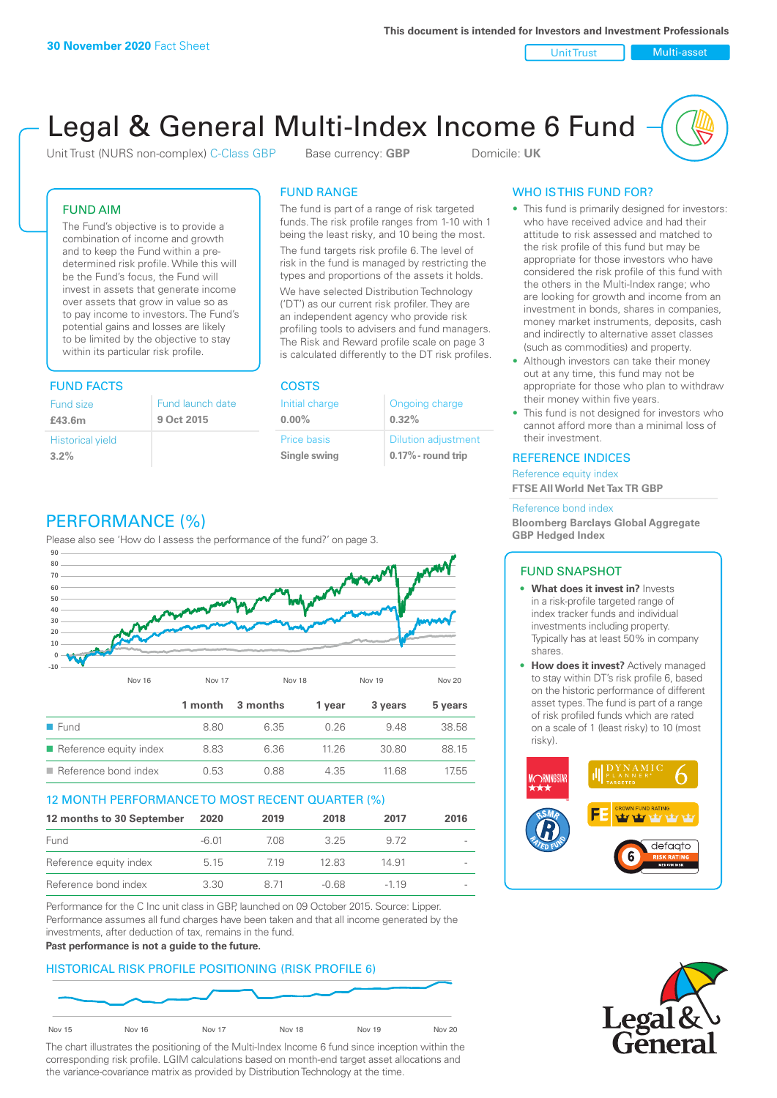Unit Trust Nulti-asset

# Legal & General Multi-Index Income 6 Fund

Unit Trust (NURS non-complex) C-Class GBP Base currency: **GBP** Domicile: UK

## FUND AIM

The Fund's objective is to provide a combination of income and growth and to keep the Fund within a predetermined risk profile. While this will be the Fund's focus, the Fund will invest in assets that generate income over assets that grow in value so as to pay income to investors. The Fund's potential gains and losses are likely to be limited by the objective to stay within its particular risk profile.

## FUND FACTS COSTS

| Fund size                       | Fund launch date |
|---------------------------------|------------------|
| £43.6m                          | 9 Oct 2015       |
| <b>Historical yield</b><br>3.2% |                  |

## FUND RANGE

The fund is part of a range of risk targeted funds. The risk profile ranges from 1-10 with 1 being the least risky, and 10 being the most.

The fund targets risk profile 6. The level of risk in the fund is managed by restricting the types and proportions of the assets it holds. We have selected Distribution Technology ('DT') as our current risk profiler. They are an independent agency who provide risk profiling tools to advisers and fund managers. The Risk and Reward profile scale on page 3 is calculated differently to the DT risk profiles.

| Initial charge | Ongoing charge             |
|----------------|----------------------------|
| $0.00\%$       | 0.32%                      |
| Price basis    | <b>Dilution adjustment</b> |
| Single swing   | 0.17% - round trip         |

# PERFORMANCE (%)

Please also see 'How do I assess the performance of the fund?' on page 3.



## 12 MONTH PERFORMANCE TO MOST RECENT QUARTER (%)

| 12 months to 30 September | 2020    | 2019 | 2018  | 2017   | 2016                     |
|---------------------------|---------|------|-------|--------|--------------------------|
| Fund                      | $-6.01$ | 708  | 325   | 9.72   | $\overline{\phantom{a}}$ |
| Reference equity index    | 5.15    | 719  | 12.83 | 14.91  |                          |
| Reference bond index      | 3.30    | 8 71 | -0.68 | $-119$ | $\overline{\phantom{a}}$ |

Performance for the C Inc unit class in GBP, launched on 09 October 2015. Source: Lipper. Performance assumes all fund charges have been taken and that all income generated by the investments, after deduction of tax, remains in the fund.

### **Past performance is not a guide to the future.**

## HISTORICAL RISK PROFILE POSITIONING (RISK PROFILE 6)



The chart illustrates the positioning of the Multi-Index Income 6 fund since inception within the corresponding risk profile. LGIM calculations based on month-end target asset allocations and the variance-covariance matrix as provided by Distribution Technology at the time.

## WHO IS THIS FUND FOR?

- This fund is primarily designed for investors: who have received advice and had their attitude to risk assessed and matched to the risk profile of this fund but may be appropriate for those investors who have considered the risk profile of this fund with the others in the Multi-Index range; who are looking for growth and income from an investment in bonds, shares in companies, money market instruments, deposits, cash and indirectly to alternative asset classes (such as commodities) and property.
- Although investors can take their money out at any time, this fund may not be appropriate for those who plan to withdraw their money within five years.
- This fund is not designed for investors who cannot afford more than a minimal loss of their investment.

## REFERENCE INDICES

Reference equity index **FTSE All World Net Tax TR GBP**

#### Reference bond index

**Bloomberg Barclays Global Aggregate GBP Hedged Index**

## FUND SNAPSHOT

- **• What does it invest in?** Invests in a risk-profile targeted range of index tracker funds and individual investments including property. Typically has at least 50% in company shares.
- **• How does it invest?** Actively managed to stay within DT's risk profile 6, based on the historic performance of different asset types. The fund is part of a range of risk profiled funds which are rated on a scale of 1 (least risky) to 10 (most risky).



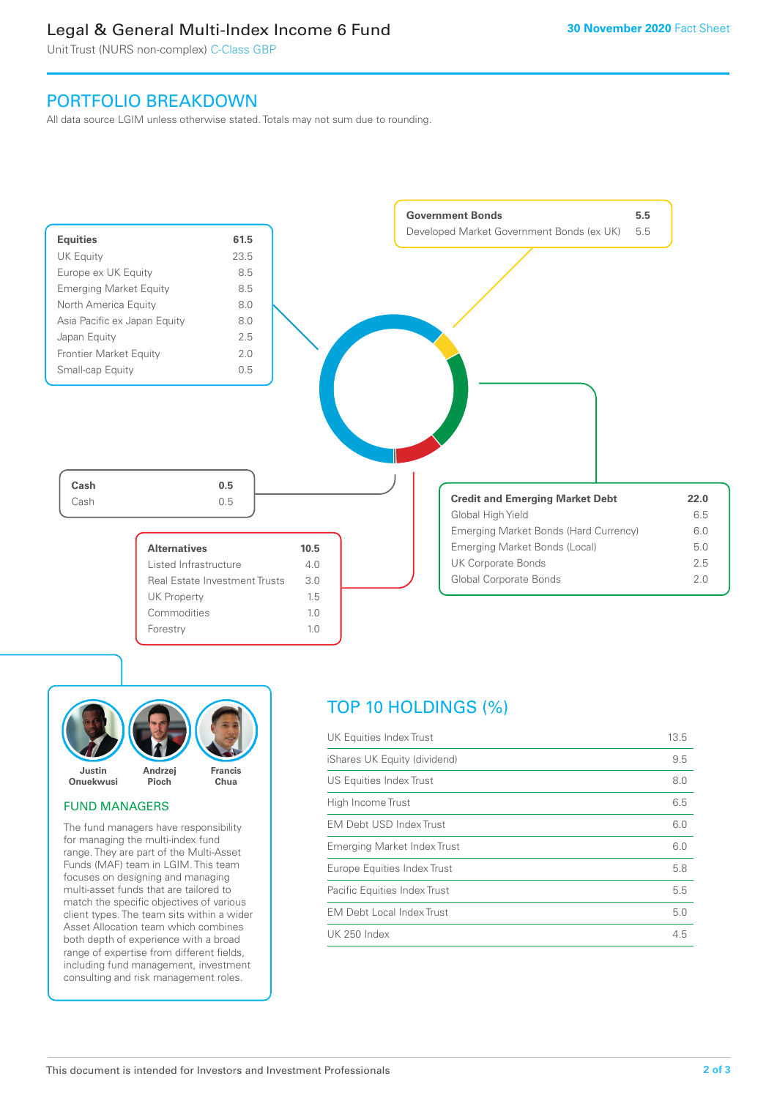## Legal & General Multi-Index Income 6 Fund

Unit Trust (NURS non-complex) C-Class GBP

## PORTFOLIO BREAKDOWN

All data source LGIM unless otherwise stated. Totals may not sum due to rounding.





## FUND MANAGERS

The fund managers have responsibility for managing the multi-index fund range. They are part of the Multi-Asset Funds (MAF) team in LGIM. This team focuses on designing and managing multi-asset funds that are tailored to match the specific objectives of various client types. The team sits within a wider Asset Allocation team which combines both depth of experience with a broad range of expertise from different fields, including fund management, investment consulting and risk management roles.

## TOP 10 HOLDINGS (%)

| UK Equities Index Trust          | 13.5 |
|----------------------------------|------|
| iShares UK Equity (dividend)     | 9.5  |
| US Equities Index Trust          | 8.0  |
| High Income Trust                | 6.5  |
| EM Debt USD Index Trust          | 6.0  |
| Emerging Market Index Trust      | 6.0  |
| Europe Equities Index Trust      | 5.8  |
| Pacific Equities Index Trust     | 5.5  |
| <b>EM Debt Local Index Trust</b> | 5.0  |
| UK 250 Index                     | 4.5  |
|                                  |      |